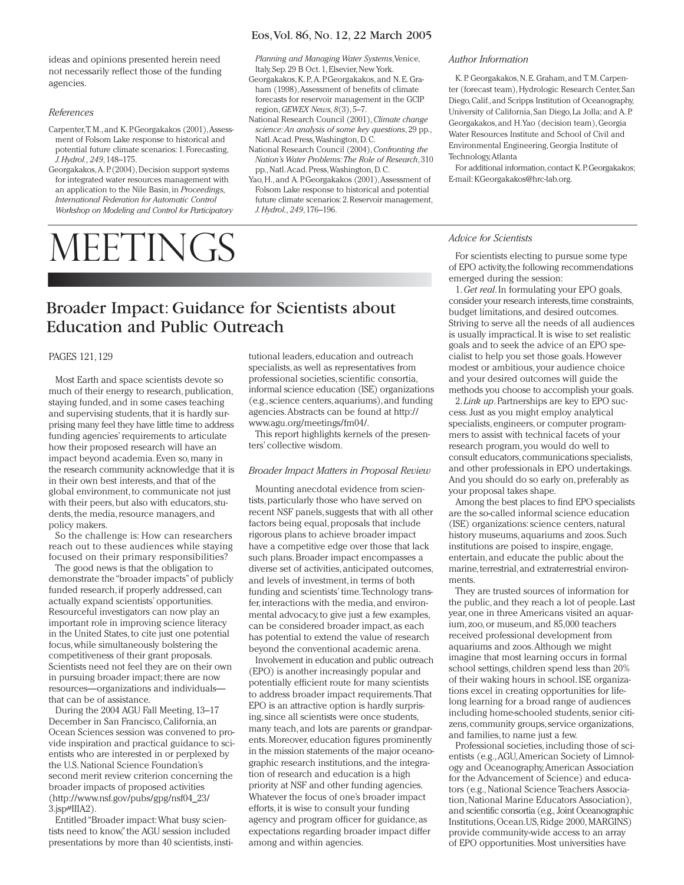# Eos,Vol. 86, No. 12, 22 March 2005

ideas and opinions presented herein need not necessarily reflect those of the funding agencies.

#### *References*

- Carpenter, T. M., and K. P. Georgakakos (2001), Assessment of Folsom Lake response to historical and potential future climate scenarios: 1. Forecasting, *J.Hydrol.,249*, 148–175.
- Georgakakos, A. P. (2004), Decision support systems for integrated water resources management with an application to the Nile Basin, in *Proceedings, International Federation for Automatic Control Workshop on Modeling and Control for Participatory*

# MEETINGS

*Planning and Managing Water Systems*,Venice, Italy, Sep. 29 B Oct. 1, Elsevier, New York.

- Georgakakos, K. P.,A. P. Georgakakos, and N. E. Graham (1998),Assessment of benefits of climate forecasts for reservoir management in the GCIP region,*GEWEX News,8*(3), 5–7.
- National Research Council (2001),*Climate change science: An analysis of some key questions*, 29 pp., Natl.Acad. Press,Washington, D. C.
- National Research Council (2004),*Confronting the Nation's Water Problems:The Role of Research*, 310 pp., Natl.Acad. Press,Washington, D. C.
- Yao, H., and A. P. Georgakakos (2001), Assessment of Folsom Lake response to historical and potential future climate scenarios: 2.Reservoir management, *J.Hydrol.,249*, 176–196.

#### *Author Information*

K. P. Georgakakos, N. E. Graham, and T. M. Carpenter (forecast team), Hydrologic Research Center, San Diego,Calif.,and Scripps Institution of Oceanography, University of California, San Diego, La Jolla; and A. P. Georgakakos, and H.Yao (decision team), Georgia Water Resources Institute and School of Civil and Environmental Engineering, Georgia Institute of Technology,Atlanta

For additional information,contact K.P.Georgakakos; E-mail: KGeorgakakos@hrc-lab.org.

#### *Advice for Scientists*

For scientists electing to pursue some type of EPO activity,the following recommendations emerged during the session:

Broader Impact: Guidance for Scientists about Education and Public Outreach

# PAGES 121, 129

Most Earth and space scientists devote so much of their energy to research, publication, staying funded, and in some cases teaching and supervising students, that it is hardly surprising many feel they have little time to address funding agencies' requirements to articulate how their proposed research will have an impact beyond academia. Even so, many in the research community acknowledge that it is in their own best interests, and that of the global environment, to communicate not just with their peers, but also with educators, students, the media, resource managers, and policy makers.

So the challenge is: How can researchers reach out to these audiences while staying focused on their primary responsibilities?

The good news is that the obligation to demonstrate the "broader impacts"of publicly funded research, if properly addressed, can actually expand scientists' opportunities. Resourceful investigators can now play an important role in improving science literacy in the United States, to cite just one potential focus, while simultaneously bolstering the competitiveness of their grant proposals. Scientists need not feel they are on their own in pursuing broader impact; there are now resources—organizations and individuals that can be of assistance.

During the 2004 AGU Fall Meeting, 13–17 December in San Francisco, California, an Ocean Sciences session was convened to provide inspiration and practical guidance to scientists who are interested in or perplexed by the U.S. National Science Foundation's second merit review criterion concerning the broader impacts of proposed activities (http://www.nsf.gov/pubs/gpg/nsf04\_23/ 3.jsp#IIIA2).

Entitled "Broader impact:What busy scientists need to know,"the AGU session included presentations by more than 40 scientists, institutional leaders, education and outreach specialists, as well as representatives from professional societies, scientific consortia, informal science education (ISE) organizations (e.g.,science centers,aquariums),and funding agencies.Abstracts can be found at http:// www.agu.org/meetings/fm04/.

This report highlights kernels of the presenters' collective wisdom.

#### *Broader Impact Matters in Proposal Review*

Mounting anecdotal evidence from scientists, particularly those who have served on recent NSF panels, suggests that with all other factors being equal, proposals that include rigorous plans to achieve broader impact have a competitive edge over those that lack such plans. Broader impact encompasses a diverse set of activities, anticipated outcomes, and levels of investment, in terms of both funding and scientists' time.Technology transfer, interactions with the media, and environmental advocacy, to give just a few examples, can be considered broader impact, as each has potential to extend the value of research beyond the conventional academic arena.

Involvement in education and public outreach (EPO) is another increasingly popular and potentially efficient route for many scientists to address broader impact requirements.That EPO is an attractive option is hardly surprising,since all scientists were once students, many teach, and lots are parents or grandparents. Moreover, education figures prominently in the mission statements of the major oceanographic research institutions, and the integration of research and education is a high priority at NSF and other funding agencies. Whatever the focus of one's broader impact efforts, it is wise to consult your funding agency and program officer for guidance, as expectations regarding broader impact differ among and within agencies.

1.*Get real*. In formulating your EPO goals, consider your research interests, time constraints, budget limitations, and desired outcomes. Striving to serve all the needs of all audiences is usually impractical. It is wise to set realistic goals and to seek the advice of an EPO specialist to help you set those goals. However modest or ambitious, your audience choice and your desired outcomes will guide the methods you choose to accomplish your goals.

2. *Link up*. Partnerships are key to EPO success. Just as you might employ analytical specialists, engineers, or computer programmers to assist with technical facets of your research program, you would do well to consult educators,communications specialists, and other professionals in EPO undertakings. And you should do so early on, preferably as your proposal takes shape.

Among the best places to find EPO specialists are the so-called informal science education (ISE) organizations: science centers, natural history museums, aquariums and zoos. Such institutions are poised to inspire, engage, entertain, and educate the public about the marine, terrestrial, and extraterrestrial environments.

They are trusted sources of information for the public, and they reach a lot of people. Last year, one in three Americans visited an aquarium, zoo, or museum, and 85,000 teachers received professional development from aquariums and zoos.Although we might imagine that most learning occurs in formal school settings, children spend less than 20% of their waking hours in school. ISE organizations excel in creating opportunities for lifelong learning for a broad range of audiences including home-schooled students, senior citizens,community groups,service organizations, and families, to name just a few.

Professional societies, including those of scientists (e.g.,AGU,American Society of Limnology and Oceanography,American Association for the Advancement of Science) and educators (e.g., National Science Teachers Association, National Marine Educators Association), and scientific consortia (e.g., Joint Oceanographic Institutions, Ocean.US, Ridge 2000, MARGINS) provide community-wide access to an array of EPO opportunities. Most universities have